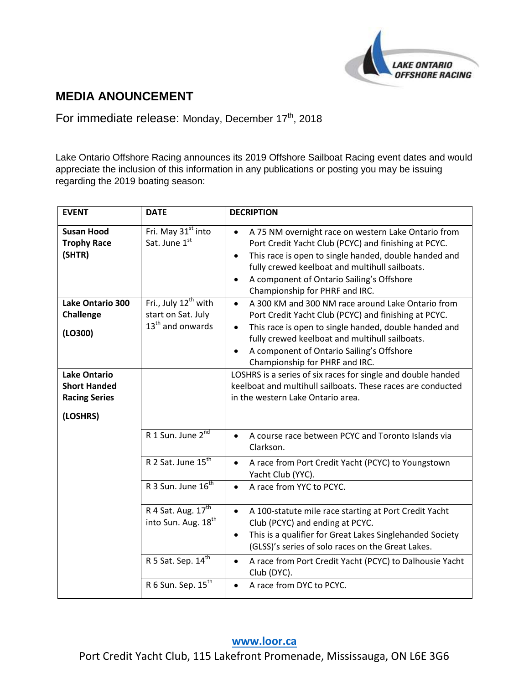

## **MEDIA ANOUNCEMENT**

For immediate release: Monday, December 17<sup>th</sup>, 2018

Lake Ontario Offshore Racing announces its 2019 Offshore Sailboat Racing event dates and would appreciate the inclusion of this information in any publications or posting you may be issuing regarding the 2019 boating season:

| <b>EVENT</b>                                                                   | <b>DATE</b>                                                                  | <b>DECRIPTION</b>                                                                                                                                                                                                                                                                                                                            |
|--------------------------------------------------------------------------------|------------------------------------------------------------------------------|----------------------------------------------------------------------------------------------------------------------------------------------------------------------------------------------------------------------------------------------------------------------------------------------------------------------------------------------|
| <b>Susan Hood</b><br><b>Trophy Race</b><br>(SHTR)                              | Fri. May 31 <sup>st</sup> into<br>Sat. June 1st                              | A 75 NM overnight race on western Lake Ontario from<br>$\bullet$<br>Port Credit Yacht Club (PCYC) and finishing at PCYC.<br>This race is open to single handed, double handed and<br>$\bullet$<br>fully crewed keelboat and multihull sailboats.<br>A component of Ontario Sailing's Offshore<br>$\bullet$<br>Championship for PHRF and IRC. |
| Lake Ontario 300<br><b>Challenge</b><br>(LO300)                                | Fri., July 12 <sup>th</sup> with<br>start on Sat. July<br>$13th$ and onwards | A 300 KM and 300 NM race around Lake Ontario from<br>$\bullet$<br>Port Credit Yacht Club (PCYC) and finishing at PCYC.<br>This race is open to single handed, double handed and<br>$\bullet$<br>fully crewed keelboat and multihull sailboats.<br>A component of Ontario Sailing's Offshore<br>$\bullet$<br>Championship for PHRF and IRC.   |
| <b>Lake Ontario</b><br><b>Short Handed</b><br><b>Racing Series</b><br>(LOSHRS) |                                                                              | LOSHRS is a series of six races for single and double handed<br>keelboat and multihull sailboats. These races are conducted<br>in the western Lake Ontario area.                                                                                                                                                                             |
|                                                                                | R 1 Sun. June 2 <sup>nd</sup>                                                | A course race between PCYC and Toronto Islands via<br>$\bullet$<br>Clarkson.                                                                                                                                                                                                                                                                 |
|                                                                                | R 2 Sat. June 15 <sup>th</sup>                                               | A race from Port Credit Yacht (PCYC) to Youngstown<br>$\bullet$<br>Yacht Club (YYC).                                                                                                                                                                                                                                                         |
|                                                                                | R 3 Sun. June 16 <sup>th</sup>                                               | A race from YYC to PCYC.<br>$\bullet$                                                                                                                                                                                                                                                                                                        |
|                                                                                | R 4 Sat. Aug. 17th<br>into Sun. Aug. 18 <sup>th</sup>                        | A 100-statute mile race starting at Port Credit Yacht<br>$\bullet$<br>Club (PCYC) and ending at PCYC.<br>This is a qualifier for Great Lakes Singlehanded Society<br>$\bullet$<br>(GLSS)'s series of solo races on the Great Lakes.                                                                                                          |
|                                                                                | R 5 Sat. Sep. 14th                                                           | A race from Port Credit Yacht (PCYC) to Dalhousie Yacht<br>$\bullet$<br>Club (DYC).                                                                                                                                                                                                                                                          |
|                                                                                | R 6 Sun. Sep. $15^{th}$                                                      | A race from DYC to PCYC.                                                                                                                                                                                                                                                                                                                     |